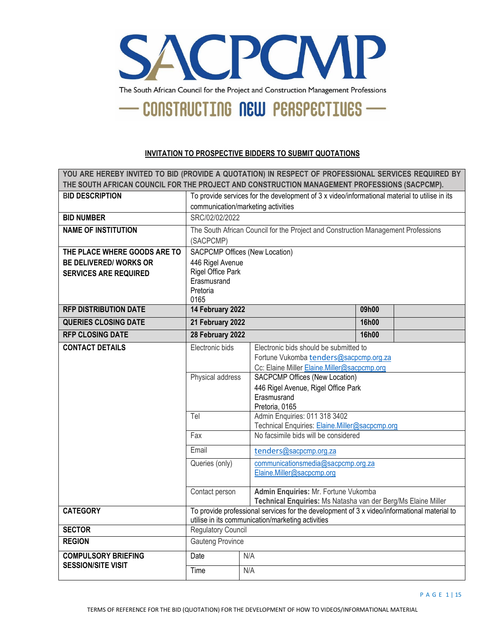

#### **INVITATION TO PROSPECTIVE BIDDERS TO SUBMIT QUOTATIONS**

| YOU ARE HEREBY INVITED TO BID (PROVIDE A QUOTATION) IN RESPECT OF PROFESSIONAL SERVICES REQUIRED BY<br>THE SOUTH AFRICAN COUNCIL FOR THE PROJECT AND CONSTRUCTION MANAGEMENT PROFESSIONS (SACPCMP). |                                                                                                                                                  |                                                                                                                                     |                                                                                                                                 |       |  |
|-----------------------------------------------------------------------------------------------------------------------------------------------------------------------------------------------------|--------------------------------------------------------------------------------------------------------------------------------------------------|-------------------------------------------------------------------------------------------------------------------------------------|---------------------------------------------------------------------------------------------------------------------------------|-------|--|
| <b>BID DESCRIPTION</b>                                                                                                                                                                              |                                                                                                                                                  |                                                                                                                                     |                                                                                                                                 |       |  |
|                                                                                                                                                                                                     |                                                                                                                                                  | To provide services for the development of 3 x video/informational material to utilise in its<br>communication/marketing activities |                                                                                                                                 |       |  |
| <b>BID NUMBER</b>                                                                                                                                                                                   | SRC/02/02/2022                                                                                                                                   |                                                                                                                                     |                                                                                                                                 |       |  |
| <b>NAME OF INSTITUTION</b>                                                                                                                                                                          | (SACPCMP)                                                                                                                                        |                                                                                                                                     | The South African Council for the Project and Construction Management Professions                                               |       |  |
| THE PLACE WHERE GOODS ARE TO                                                                                                                                                                        | <b>SACPCMP Offices (New Location)</b>                                                                                                            |                                                                                                                                     |                                                                                                                                 |       |  |
| <b>BE DELIVERED/ WORKS OR</b>                                                                                                                                                                       | 446 Rigel Avenue                                                                                                                                 |                                                                                                                                     |                                                                                                                                 |       |  |
| <b>SERVICES ARE REQUIRED</b>                                                                                                                                                                        | Rigel Office Park<br>Erasmusrand<br>Pretoria<br>0165                                                                                             |                                                                                                                                     |                                                                                                                                 |       |  |
| <b>RFP DISTRIBUTION DATE</b>                                                                                                                                                                        | 14 February 2022                                                                                                                                 |                                                                                                                                     |                                                                                                                                 | 09h00 |  |
| <b>QUERIES CLOSING DATE</b>                                                                                                                                                                         | 21 February 2022                                                                                                                                 |                                                                                                                                     |                                                                                                                                 | 16h00 |  |
| <b>RFP CLOSING DATE</b>                                                                                                                                                                             | 28 February 2022                                                                                                                                 |                                                                                                                                     |                                                                                                                                 | 16h00 |  |
| <b>CONTACT DETAILS</b>                                                                                                                                                                              | Electronic bids                                                                                                                                  |                                                                                                                                     | Electronic bids should be submitted to<br>Fortune Vukomba tenders@sacpcmp.org.za<br>Cc: Elaine Miller Elaine.Miller@sacpcmp.org |       |  |
|                                                                                                                                                                                                     | Physical address                                                                                                                                 | SACPCMP Offices (New Location)<br>446 Rigel Avenue, Rigel Office Park<br>Erasmusrand<br>Pretoria, 0165                              |                                                                                                                                 |       |  |
|                                                                                                                                                                                                     | Admin Enquiries: 011 318 3402<br>Tel<br>Technical Enquiries: Elaine.Miller@sacpcmp.org                                                           |                                                                                                                                     |                                                                                                                                 |       |  |
|                                                                                                                                                                                                     | No facsimile bids will be considered<br>Fax                                                                                                      |                                                                                                                                     |                                                                                                                                 |       |  |
|                                                                                                                                                                                                     | Email<br>tenders@sacpcmp.org.za                                                                                                                  |                                                                                                                                     |                                                                                                                                 |       |  |
|                                                                                                                                                                                                     | Queries (only)                                                                                                                                   | communicationsmedia@sacpcmp.org.za<br>Elaine.Miller@sacpcmp.org                                                                     |                                                                                                                                 |       |  |
|                                                                                                                                                                                                     | Admin Enquiries: Mr. Fortune Vukomba<br>Contact person<br>Technical Enquiries: Ms Natasha van der Berg/Ms Elaine Miller                          |                                                                                                                                     |                                                                                                                                 |       |  |
| <b>CATEGORY</b>                                                                                                                                                                                     | To provide professional services for the development of 3 x video/informational material to<br>utilise in its communication/marketing activities |                                                                                                                                     |                                                                                                                                 |       |  |
| <b>SECTOR</b>                                                                                                                                                                                       | <b>Regulatory Council</b>                                                                                                                        |                                                                                                                                     |                                                                                                                                 |       |  |
| <b>REGION</b>                                                                                                                                                                                       | <b>Gauteng Province</b>                                                                                                                          |                                                                                                                                     |                                                                                                                                 |       |  |
| <b>COMPULSORY BRIEFING</b>                                                                                                                                                                          | Date<br>N/A                                                                                                                                      |                                                                                                                                     |                                                                                                                                 |       |  |
| <b>SESSION/SITE VISIT</b>                                                                                                                                                                           | N/A<br>Time                                                                                                                                      |                                                                                                                                     |                                                                                                                                 |       |  |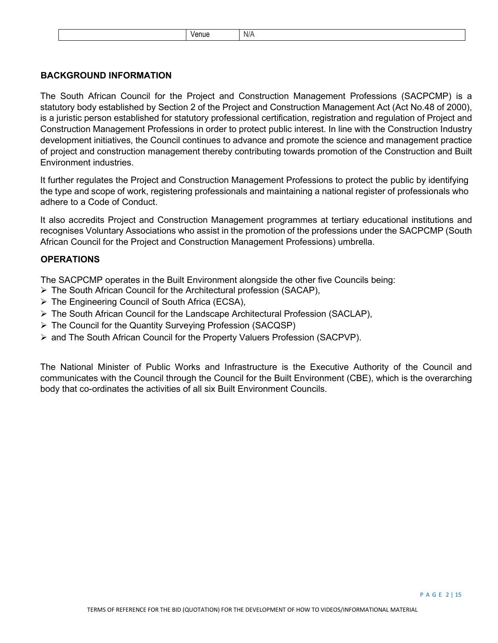| N/A<br>enue |
|-------------|
|-------------|

# **BACKGROUND INFORMATION**

The South African Council for the Project and Construction Management Professions (SACPCMP) is a statutory body established by Section 2 of the Project and Construction Management Act (Act No.48 of 2000), is a juristic person established for statutory professional certification, registration and regulation of Project and Construction Management Professions in order to protect public interest. In line with the Construction Industry development initiatives, the Council continues to advance and promote the science and management practice of project and construction management thereby contributing towards promotion of the Construction and Built Environment industries.

It further regulates the Project and Construction Management Professions to protect the public by identifying the type and scope of work, registering professionals and maintaining a national register of professionals who adhere to a Code of Conduct.

It also accredits Project and Construction Management programmes at tertiary educational institutions and recognises Voluntary Associations who assist in the promotion of the professions under the SACPCMP (South African Council for the Project and Construction Management Professions) umbrella.

## **OPERATIONS**

The SACPCMP operates in the Built Environment alongside the other five Councils being:

- > The South African Council for the Architectural profession (SACAP),
- The Engineering Council of South Africa (ECSA),
- $\triangleright$  The South African Council for the Landscape Architectural Profession (SACLAP),
- The Council for the Quantity Surveying Profession (SACQSP)
- $\triangleright$  and The South African Council for the Property Valuers Profession (SACPVP).

The National Minister of Public Works and Infrastructure is the Executive Authority of the Council and communicates with the Council through the Council for the Built Environment (CBE), which is the overarching body that co-ordinates the activities of all six Built Environment Councils.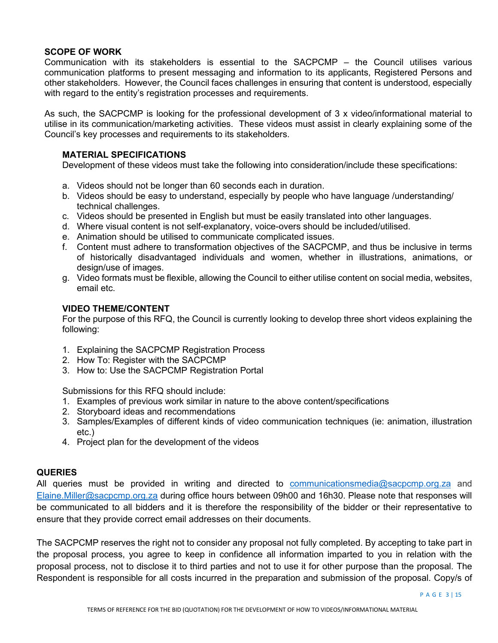## **SCOPE OF WORK**

Communication with its stakeholders is essential to the SACPCMP – the Council utilises various communication platforms to present messaging and information to its applicants, Registered Persons and other stakeholders. However, the Council faces challenges in ensuring that content is understood, especially with regard to the entity's registration processes and requirements.

As such, the SACPCMP is looking for the professional development of 3 x video/informational material to utilise in its communication/marketing activities. These videos must assist in clearly explaining some of the Council's key processes and requirements to its stakeholders.

# **MATERIAL SPECIFICATIONS**

Development of these videos must take the following into consideration/include these specifications:

- a. Videos should not be longer than 60 seconds each in duration.
- b. Videos should be easy to understand, especially by people who have language /understanding/ technical challenges.
- c. Videos should be presented in English but must be easily translated into other languages.
- d. Where visual content is not self-explanatory, voice-overs should be included/utilised.
- e. Animation should be utilised to communicate complicated issues.
- f. Content must adhere to transformation objectives of the SACPCMP, and thus be inclusive in terms of historically disadvantaged individuals and women, whether in illustrations, animations, or design/use of images.
- g. Video formats must be flexible, allowing the Council to either utilise content on social media, websites, email etc.

#### **VIDEO THEME/CONTENT**

For the purpose of this RFQ, the Council is currently looking to develop three short videos explaining the following:

- 1. Explaining the SACPCMP Registration Process
- 2. How To: Register with the SACPCMP
- 3. How to: Use the SACPCMP Registration Portal

Submissions for this RFQ should include:

- 1. Examples of previous work similar in nature to the above content/specifications
- 2. Storyboard ideas and recommendations
- 3. Samples/Examples of different kinds of video communication techniques (ie: animation, illustration etc.)
- 4. Project plan for the development of the videos

#### **QUERIES**

All queries must be provided in writing and directed to [communicationsmedia@sacpcmp.org.za](mailto:communicationsmedia@sacpcmp.org.za) and Elaine.Miller@sacpcmp.org.za during office hours between 09h00 and 16h30. Please note that responses will be communicated to all bidders and it is therefore the responsibility of the bidder or their representative to ensure that they provide correct email addresses on their documents.

The SACPCMP reserves the right not to consider any proposal not fully completed. By accepting to take part in the proposal process, you agree to keep in confidence all information imparted to you in relation with the proposal process, not to disclose it to third parties and not to use it for other purpose than the proposal. The Respondent is responsible for all costs incurred in the preparation and submission of the proposal. Copy/s of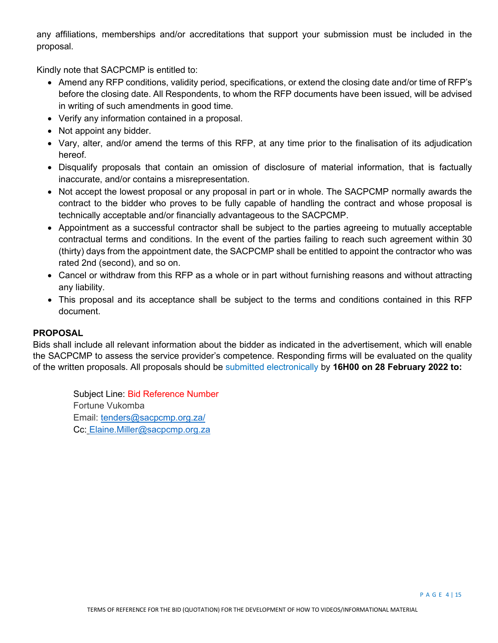any affiliations, memberships and/or accreditations that support your submission must be included in the proposal.

Kindly note that SACPCMP is entitled to:

- Amend any RFP conditions, validity period, specifications, or extend the closing date and/or time of RFP's before the closing date. All Respondents, to whom the RFP documents have been issued, will be advised in writing of such amendments in good time.
- Verify any information contained in a proposal.
- Not appoint any bidder.
- Vary, alter, and/or amend the terms of this RFP, at any time prior to the finalisation of its adjudication hereof.
- Disqualify proposals that contain an omission of disclosure of material information, that is factually inaccurate, and/or contains a misrepresentation.
- Not accept the lowest proposal or any proposal in part or in whole. The SACPCMP normally awards the contract to the bidder who proves to be fully capable of handling the contract and whose proposal is technically acceptable and/or financially advantageous to the SACPCMP.
- Appointment as a successful contractor shall be subject to the parties agreeing to mutually acceptable contractual terms and conditions. In the event of the parties failing to reach such agreement within 30 (thirty) days from the appointment date, the SACPCMP shall be entitled to appoint the contractor who was rated 2nd (second), and so on.
- Cancel or withdraw from this RFP as a whole or in part without furnishing reasons and without attracting any liability.
- This proposal and its acceptance shall be subject to the terms and conditions contained in this RFP document.

# **PROPOSAL**

Bids shall include all relevant information about the bidder as indicated in the advertisement, which will enable the SACPCMP to assess the service provider's competence. Responding firms will be evaluated on the quality of the written proposals. All proposals should be submitted electronically by **16H00 on 28 February 2022 to:** 

Subject Line: Bid Reference Number Fortune Vukomba Email: [tenders@sacpcmp.org.za/](mailto:tenders@sacpcmp.org.za/) Cc: Elaine.Miller@sacpcmp.org.za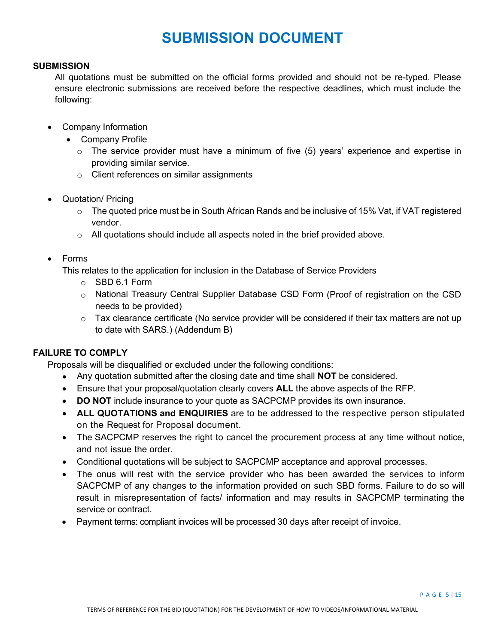# **SUBMISSION DOCUMENT**

### **SUBMISSION**

All quotations must be submitted on the official forms provided and should not be re-typed. Please ensure electronic submissions are received before the respective deadlines, which must include the following:

- Company Information
	- Company Profile
		- $\circ$  The service provider must have a minimum of five (5) years' experience and expertise in providing similar service.
		- o Client references on similar assignments
- Quotation/ Pricing
	- $\circ$  The quoted price must be in South African Rands and be inclusive of 15% Vat, if VAT registered vendor.
	- $\circ$  All quotations should include all aspects noted in the brief provided above.
- Forms

This relates to the application for inclusion in the Database of Service Providers

- o SBD 6.1 Form
- o National Treasury Central Supplier Database CSD Form (Proof of registration on the CSD needs to be provided)
- $\circ$  Tax clearance certificate (No service provider will be considered if their tax matters are not up to date with SARS.) (Addendum B)

# **FAILURE TO COMPLY**

Proposals will be disqualified or excluded under the following conditions:

- Any quotation submitted after the closing date and time shall **NOT** be considered.
- Ensure that your proposal/quotation clearly covers **ALL** the above aspects of the RFP.
- **DO NOT** include insurance to your quote as SACPCMP provides its own insurance.
- **ALL QUOTATIONS and ENQUIRIES** are to be addressed to the respective person stipulated on the Request for Proposal document.
- The SACPCMP reserves the right to cancel the procurement process at any time without notice, and not issue the order.
- Conditional quotations will be subject to SACPCMP acceptance and approval processes.
- The onus will rest with the service provider who has been awarded the services to inform SACPCMP of any changes to the information provided on such SBD forms. Failure to do so will result in misrepresentation of facts/ information and may results in SACPCMP terminating the service or contract.
- Payment terms: compliant invoices will be processed 30 days after receipt of invoice.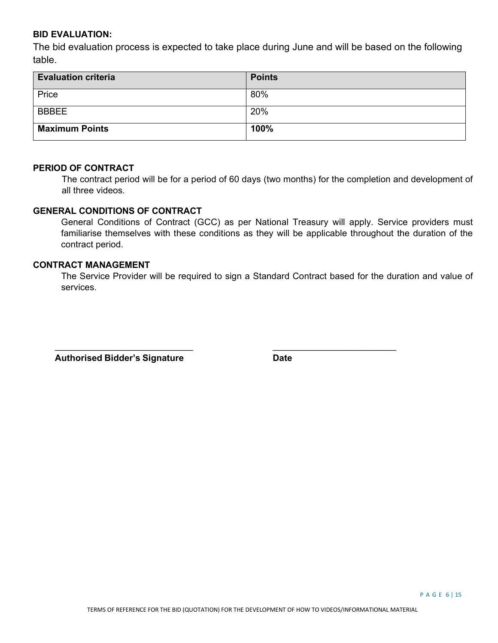## **BID EVALUATION:**

The bid evaluation process is expected to take place during June and will be based on the following table.

| <b>Evaluation criteria</b> | <b>Points</b> |
|----------------------------|---------------|
| Price                      | 80%           |
| <b>BBBEE</b>               | 20%           |
| <b>Maximum Points</b>      | 100%          |

#### **PERIOD OF CONTRACT**

The contract period will be for a period of 60 days (two months) for the completion and development of all three videos.

# **GENERAL CONDITIONS OF CONTRACT**

General Conditions of Contract (GCC) as per National Treasury will apply. Service providers must familiarise themselves with these conditions as they will be applicable throughout the duration of the contract period.

# **CONTRACT MANAGEMENT**

The Service Provider will be required to sign a Standard Contract based for the duration and value of services.

 $\overline{\phantom{a}}$  ,  $\overline{\phantom{a}}$  ,  $\overline{\phantom{a}}$  ,  $\overline{\phantom{a}}$  ,  $\overline{\phantom{a}}$  ,  $\overline{\phantom{a}}$  ,  $\overline{\phantom{a}}$  ,  $\overline{\phantom{a}}$  ,  $\overline{\phantom{a}}$  ,  $\overline{\phantom{a}}$  ,  $\overline{\phantom{a}}$  ,  $\overline{\phantom{a}}$  ,  $\overline{\phantom{a}}$  ,  $\overline{\phantom{a}}$  ,  $\overline{\phantom{a}}$  ,  $\overline{\phantom{a}}$ 

 **Authorised Bidder's Signature Date**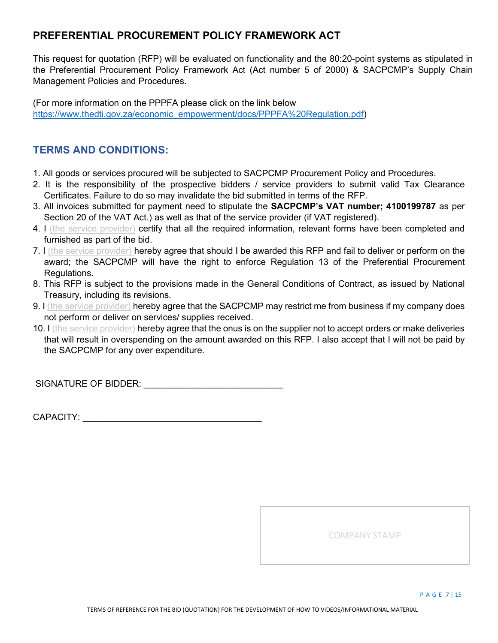# **PREFERENTIAL PROCUREMENT POLICY FRAMEWORK ACT**

This request for quotation (RFP) will be evaluated on functionality and the 80:20-point systems as stipulated in the Preferential Procurement Policy Framework Act (Act number 5 of 2000) & SACPCMP's Supply Chain Management Policies and Procedures.

(For more information on the PPPFA please click on the link below [https://www.thedti.gov.za/economic\\_empowerment/docs/PPPFA%20Regulation.pdf\)](https://www.thedti.gov.za/economic_empowerment/docs/PPPFA%20Regulation.pdf)

# **TERMS AND CONDITIONS:**

- 1. All goods or services procured will be subjected to SACPCMP Procurement Policy and Procedures.
- 2. It is the responsibility of the prospective bidders / service providers to submit valid Tax Clearance Certificates. Failure to do so may invalidate the bid submitted in terms of the RFP.
- 3. All invoices submitted for payment need to stipulate the **SACPCMP's VAT number; 4100199787** as per Section 20 of the VAT Act.) as well as that of the service provider (if VAT registered).
- 4. I (the service provider) certify that all the required information, relevant forms have been completed and furnished as part of the bid.
- 7. I (the service provider) hereby agree that should I be awarded this RFP and fail to deliver or perform on the award; the SACPCMP will have the right to enforce Regulation 13 of the Preferential Procurement Regulations.
- 8. This RFP is subject to the provisions made in the General Conditions of Contract, as issued by National Treasury, including its revisions.
- 9. I (the service provider) hereby agree that the SACPCMP may restrict me from business if my company does not perform or deliver on services/ supplies received.
- 10. I (the service provider) hereby agree that the onus is on the supplier not to accept orders or make deliveries that will result in overspending on the amount awarded on this RFP. I also accept that I will not be paid by the SACPCMP for any over expenditure.

SIGNATURE OF BIDDER: **WE are all that the set of the set of the set of the set of the set of the set of the set of the set of the set of the set of the set of the set of the set of the set of the set of the set of the set** 

CAPACITY: **Example 20** 

COMPANY STAMP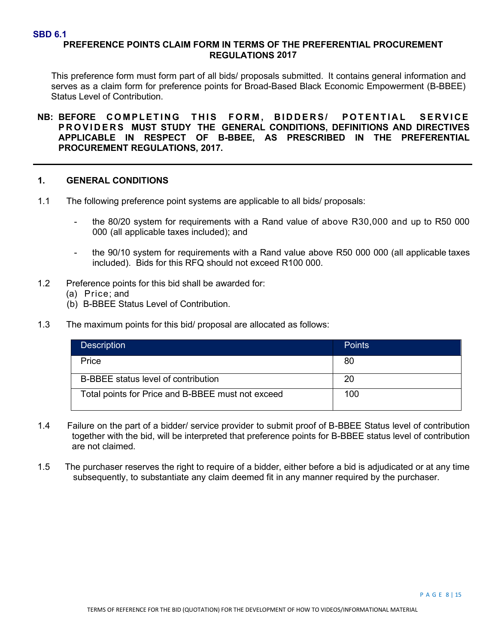#### **SBD 6.1**

# **PREFERENCE POINTS CLAIM FORM IN TERMS OF THE PREFERENTIAL PROCUREMENT REGULATIONS 2017**

This preference form must form part of all bids/ proposals submitted. It contains general information and serves as a claim form for preference points for Broad-Based Black Economic Empowerment (B-BBEE) Status Level of Contribution.

**NB: BEFORE COMPLETING THIS FORM , BIDDERS/ POTENTIAL SERVICE PROVIDERS MUST STUDY THE GENERAL CONDITIONS, DEFINITIONS AND DIRECTIVES APPLICABLE IN RESPECT OF B-BBEE, AS PRESCRIBED IN THE PREFERENTIAL PROCUREMENT REGULATIONS, 2017.**

### **1. GENERAL CONDITIONS**

- 1.1 The following preference point systems are applicable to all bids/ proposals:
	- the 80/20 system for requirements with a Rand value of above R30,000 and up to R50 000 000 (all applicable taxes included); and
	- the 90/10 system for requirements with a Rand value above R50 000 000 (all applicable taxes included). Bids for this RFQ should not exceed R100 000.
- 1.2 Preference points for this bid shall be awarded for:
	- (a) Price; and
	- (b) B-BBEE Status Level of Contribution.
- 1.3 The maximum points for this bid/ proposal are allocated as follows:

| <b>Description</b>                                | <b>Points</b> |
|---------------------------------------------------|---------------|
| Price                                             | 80            |
| B-BBEE status level of contribution               | 20            |
| Total points for Price and B-BBEE must not exceed | 100           |

- 1.4 Failure on the part of a bidder/ service provider to submit proof of B-BBEE Status level of contribution together with the bid, will be interpreted that preference points for B-BBEE status level of contribution are not claimed.
- 1.5 The purchaser reserves the right to require of a bidder, either before a bid is adjudicated or at any time subsequently, to substantiate any claim deemed fit in any manner required by the purchaser.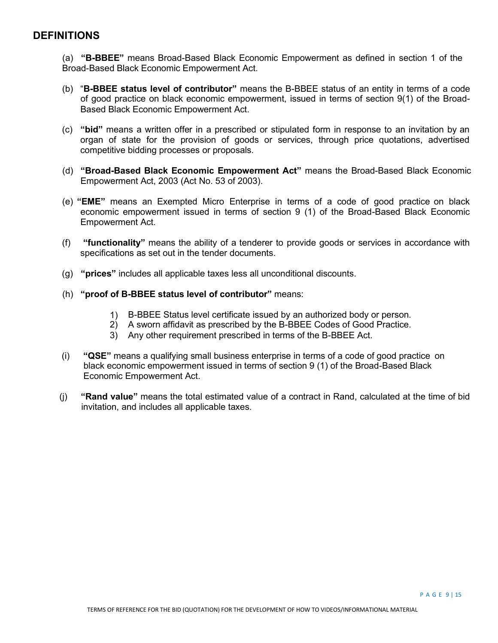# **DEFINITIONS**

(a) **"B-BBEE"** means Broad-Based Black Economic Empowerment as defined in section 1 of the Broad-Based Black Economic Empowerment Act.

- (b) "**B-BBEE status level of contributor"** means the B-BBEE status of an entity in terms of a code of good practice on black economic empowerment, issued in terms of section 9(1) of the Broad-Based Black Economic Empowerment Act.
- (c) **"bid"** means a written offer in a prescribed or stipulated form in response to an invitation by an organ of state for the provision of goods or services, through price quotations, advertised competitive bidding processes or proposals.
- (d) **"Broad-Based Black Economic Empowerment Act"** means the Broad-Based Black Economic Empowerment Act, 2003 (Act No. 53 of 2003).
- (e) **"EME"** means an Exempted Micro Enterprise in terms of a code of good practice on black economic empowerment issued in terms of section 9 (1) of the Broad-Based Black Economic Empowerment Act.
- (f) **"functionality"** means the ability of a tenderer to provide goods or services in accordance with specifications as set out in the tender documents.
- (g) **"prices"** includes all applicable taxes less all unconditional discounts.
- (h) **"proof of B-BBEE status level of contributor"** means:
	- 1) B-BBEE Status level certificate issued by an authorized body or person.
	- 2) A sworn affidavit as prescribed by the B-BBEE Codes of Good Practice.
	- 3) Any other requirement prescribed in terms of the B-BBEE Act.
- (i) **"QSE"** means a qualifying small business enterprise in terms of a code of good practice on black economic empowerment issued in terms of section 9 (1) of the Broad-Based Black Economic Empowerment Act.
- (j) **"Rand value"** means the total estimated value of a contract in Rand, calculated at the time of bid invitation, and includes all applicable taxes.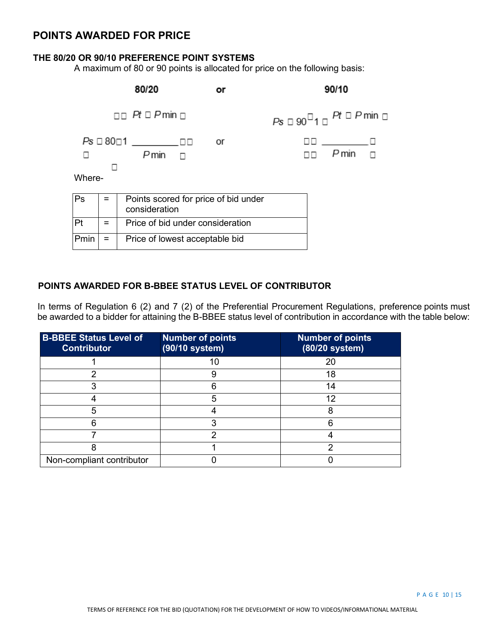# **POINTS AWARDED FOR PRICE**

## **THE 80/20 OR 90/10 PREFERENCE POINT SYSTEMS**

A maximum of 80 or 90 points is allocated for price on the following basis:



# **POINTS AWARDED FOR B-BBEE STATUS LEVEL OF CONTRIBUTOR**

In terms of Regulation 6 (2) and 7 (2) of the Preferential Procurement Regulations, preference points must be awarded to a bidder for attaining the B-BBEE status level of contribution in accordance with the table below:

| <b>B-BBEE Status Level of</b><br><b>Contributor</b> | <b>Number of points</b><br>(90/10 system) | <b>Number of points</b><br>(80/20 system) |
|-----------------------------------------------------|-------------------------------------------|-------------------------------------------|
|                                                     | 10                                        | 20                                        |
| っ                                                   | 9                                         | 18                                        |
|                                                     |                                           | 14                                        |
|                                                     | 5                                         | 12                                        |
| 5                                                   |                                           |                                           |
|                                                     |                                           |                                           |
|                                                     | າ                                         |                                           |
|                                                     |                                           |                                           |
| Non-compliant contributor                           |                                           |                                           |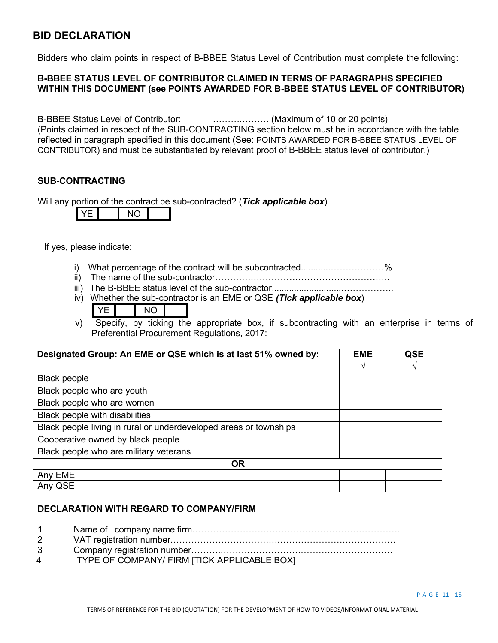# **BID DECLARATION**

Bidders who claim points in respect of B-BBEE Status Level of Contribution must complete the following:

# **B-BBEE STATUS LEVEL OF CONTRIBUTOR CLAIMED IN TERMS OF PARAGRAPHS SPECIFIED WITHIN THIS DOCUMENT (see POINTS AWARDED FOR B-BBEE STATUS LEVEL OF CONTRIBUTOR)**

B-BBEE Status Level of Contributor: ……….……… (Maximum of 10 or 20 points) (Points claimed in respect of the SUB-CONTRACTING section below must be in accordance with the table reflected in paragraph specified in this document (See: POINTS AWARDED FOR B-BBEE STATUS LEVEL OF CONTRIBUTOR) and must be substantiated by relevant proof of B-BBEE status level of contributor.)

# **SUB-CONTRACTING**

Will any portion of the contract be sub-contracted? (*Tick applicable box*)

|--|

If yes, please indicate:

- i) What percentage of the contract will be subcontracted............………………%
- ii) The name of the sub-contractor…………………………………………………..
- iii) The B-BBEE status level of the sub-contractor.............................……………..
- iv) Whether the sub-contractor is an EME or QSE *(Tick applicable box*)

v) Specify, by ticking the appropriate box, if subcontracting with an enterprise in terms of Preferential Procurement Regulations, 2017:

| Designated Group: An EME or QSE which is at last 51% owned by:    | <b>EME</b> | <b>QSE</b> |
|-------------------------------------------------------------------|------------|------------|
|                                                                   | ٦          | V          |
| Black people                                                      |            |            |
| Black people who are youth                                        |            |            |
| Black people who are women                                        |            |            |
| Black people with disabilities                                    |            |            |
| Black people living in rural or underdeveloped areas or townships |            |            |
| Cooperative owned by black people                                 |            |            |
| Black people who are military veterans                            |            |            |
| <b>OR</b>                                                         |            |            |
| Any EME                                                           |            |            |
| Any QSE                                                           |            |            |

# **DECLARATION WITH REGARD TO COMPANY/FIRM**

 Name of company name firm……………………………………………………………. VAT registration number……………………………….………………………………… Company registration number……….…………………………………………………. TYPE OF COMPANY/ FIRM [TICK APPLICABLE BOX]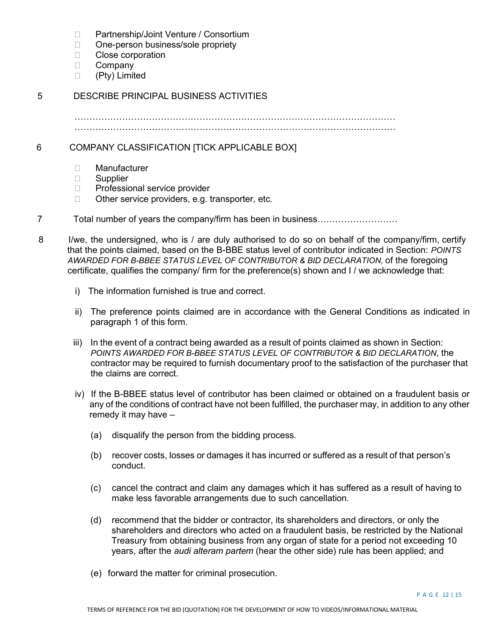- □ Partnership/Joint Venture / Consortium
- □ One-person business/sole propriety
- □ Close corporation
- D Company
- (Pty) Limited

# 5 DESCRIBE PRINCIPAL BUSINESS ACTIVITIES

……………………………………………………………………………………………… ………………………………………………………………………………………………

6 COMPANY CLASSIFICATION [TICK APPLICABLE BOX]

- Manufacturer
- □ Supplier
- □ Professional service provider
- $\Box$  Other service providers, e.g. transporter, etc.
- 7 Total number of years the company/firm has been in business………………………
- 8 I/we, the undersigned, who is / are duly authorised to do so on behalf of the company/firm, certify that the points claimed, based on the B-BBE status level of contributor indicated in Section: *POINTS AWARDED FOR B-BBEE STATUS LEVEL OF CONTRIBUTOR & BID DECLARATION,* of the foregoing certificate, qualifies the company/ firm for the preference(s) shown and I / we acknowledge that:
	- i) The information furnished is true and correct.
	- ii) The preference points claimed are in accordance with the General Conditions as indicated in paragraph 1 of this form.
	- iii) In the event of a contract being awarded as a result of points claimed as shown in Section: *POINTS AWARDED FOR B-BBEE STATUS LEVEL OF CONTRIBUTOR & BID DECLARATION*, the contractor may be required to furnish documentary proof to the satisfaction of the purchaser that the claims are correct.
	- iv) If the B-BBEE status level of contributor has been claimed or obtained on a fraudulent basis or any of the conditions of contract have not been fulfilled, the purchaser may, in addition to any other remedy it may have –
		- (a) disqualify the person from the bidding process.
		- (b) recover costs, losses or damages it has incurred or suffered as a result of that person's conduct.
		- (c) cancel the contract and claim any damages which it has suffered as a result of having to make less favorable arrangements due to such cancellation.
		- (d) recommend that the bidder or contractor, its shareholders and directors, or only the shareholders and directors who acted on a fraudulent basis, be restricted by the National Treasury from obtaining business from any organ of state for a period not exceeding 10 years, after the *audi alteram partem* (hear the other side) rule has been applied; and
		- (e) forward the matter for criminal prosecution.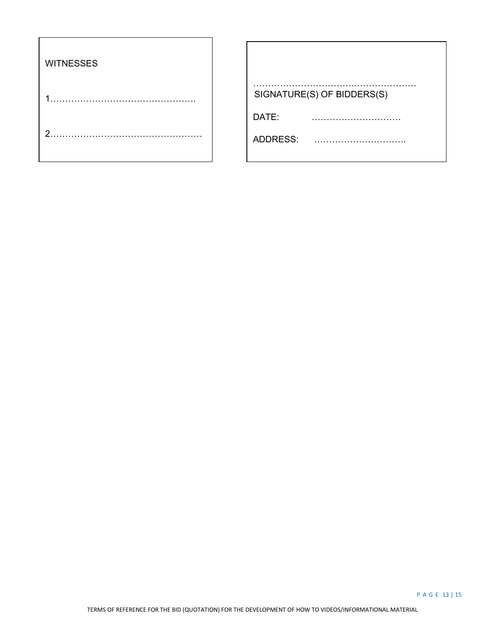| <b>WITNESSES</b> |                            |
|------------------|----------------------------|
|                  | SIGNATURE(S) OF BIDDERS(S) |
|                  | DATE:                      |
| ◠                | ADDRESS:                   |
|                  |                            |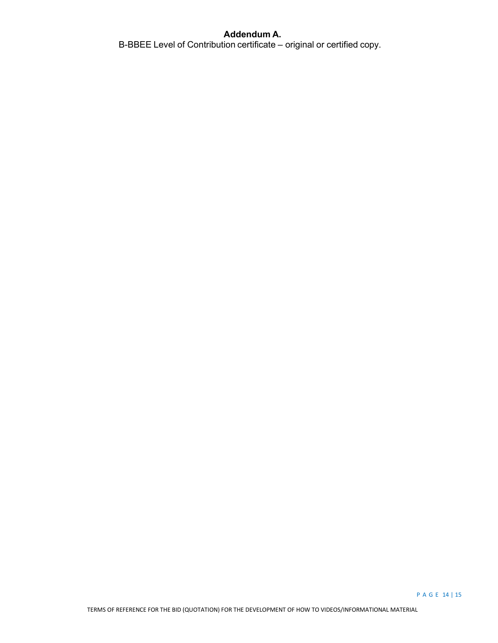# **Addendum A.**

B-BBEE Level of Contribution certificate – original or certified copy.